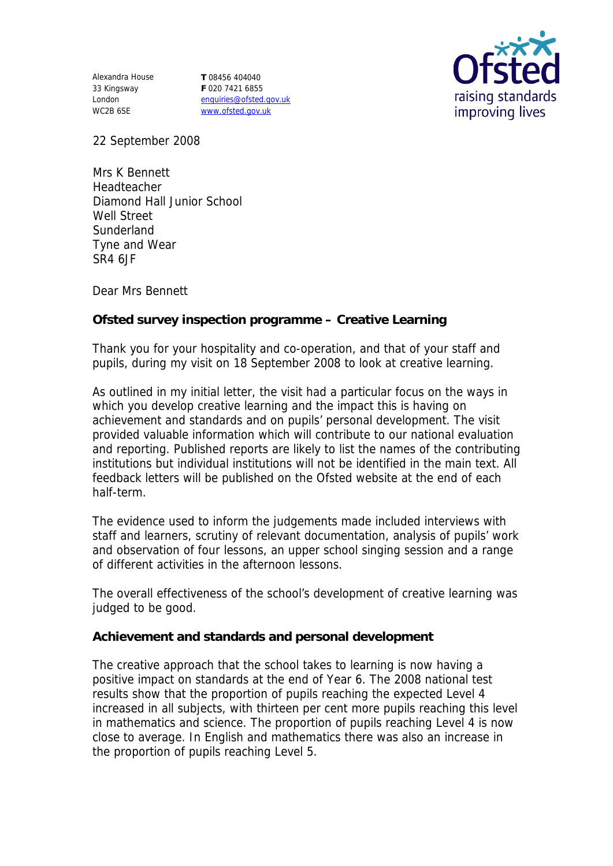Alexandra House 33 Kingsway London WC2B 6SE

**T** 08456 404040 **F** 020 7421 6855 enquiries@ofsted.gov.uk www.ofsted.gov.uk



22 September 2008

Mrs K Bennett Headteacher Diamond Hall Junior School Well Street **Sunderland** Tyne and Wear SR4 6JF

Dear Mrs Bennett

**Ofsted survey inspection programme – Creative Learning**

Thank you for your hospitality and co-operation, and that of your staff and pupils, during my visit on 18 September 2008 to look at creative learning.

As outlined in my initial letter, the visit had a particular focus on the ways in which you develop creative learning and the impact this is having on achievement and standards and on pupils' personal development. The visit provided valuable information which will contribute to our national evaluation and reporting. Published reports are likely to list the names of the contributing institutions but individual institutions will not be identified in the main text. All feedback letters will be published on the Ofsted website at the end of each half-term.

The evidence used to inform the judgements made included interviews with staff and learners, scrutiny of relevant documentation, analysis of pupils' work and observation of four lessons, an upper school singing session and a range of different activities in the afternoon lessons.

The overall effectiveness of the school's development of creative learning was judged to be good.

**Achievement and standards and personal development**

The creative approach that the school takes to learning is now having a positive impact on standards at the end of Year 6. The 2008 national test results show that the proportion of pupils reaching the expected Level 4 increased in all subjects, with thirteen per cent more pupils reaching this level in mathematics and science. The proportion of pupils reaching Level 4 is now close to average. In English and mathematics there was also an increase in the proportion of pupils reaching Level 5.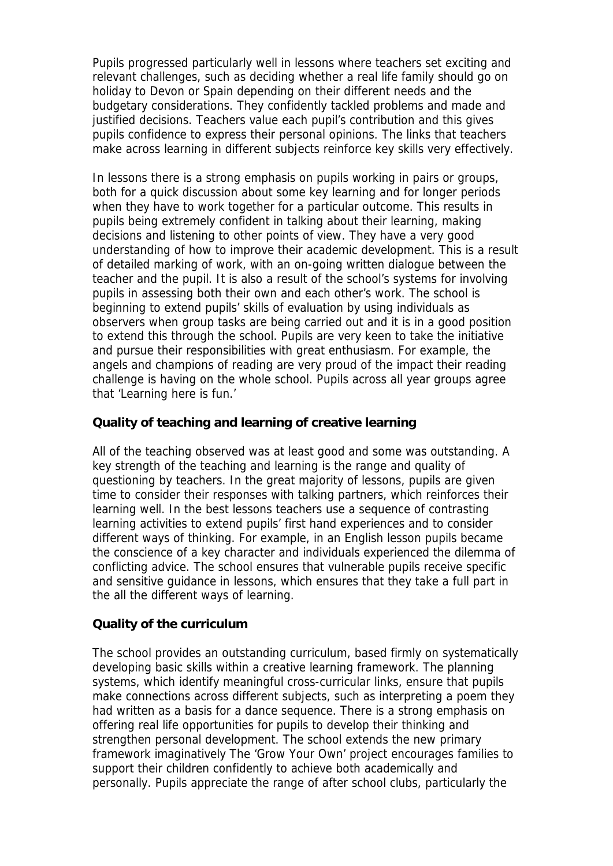Pupils progressed particularly well in lessons where teachers set exciting and relevant challenges, such as deciding whether a real life family should go on holiday to Devon or Spain depending on their different needs and the budgetary considerations. They confidently tackled problems and made and justified decisions. Teachers value each pupil's contribution and this gives pupils confidence to express their personal opinions. The links that teachers make across learning in different subjects reinforce key skills very effectively.

In lessons there is a strong emphasis on pupils working in pairs or groups, both for a quick discussion about some key learning and for longer periods when they have to work together for a particular outcome. This results in pupils being extremely confident in talking about their learning, making decisions and listening to other points of view. They have a very good understanding of how to improve their academic development. This is a result of detailed marking of work, with an on-going written dialogue between the teacher and the pupil. It is also a result of the school's systems for involving pupils in assessing both their own and each other's work. The school is beginning to extend pupils' skills of evaluation by using individuals as observers when group tasks are being carried out and it is in a good position to extend this through the school. Pupils are very keen to take the initiative and pursue their responsibilities with great enthusiasm. For example, the angels and champions of reading are very proud of the impact their reading challenge is having on the whole school. Pupils across all year groups agree that 'Learning here is fun.'

## **Quality of teaching and learning of creative learning**

All of the teaching observed was at least good and some was outstanding. A key strength of the teaching and learning is the range and quality of questioning by teachers. In the great majority of lessons, pupils are given time to consider their responses with talking partners, which reinforces their learning well. In the best lessons teachers use a sequence of contrasting learning activities to extend pupils' first hand experiences and to consider different ways of thinking. For example, in an English lesson pupils became the conscience of a key character and individuals experienced the dilemma of conflicting advice. The school ensures that vulnerable pupils receive specific and sensitive guidance in lessons, which ensures that they take a full part in the all the different ways of learning.

## **Quality of the curriculum**

The school provides an outstanding curriculum, based firmly on systematically developing basic skills within a creative learning framework. The planning systems, which identify meaningful cross-curricular links, ensure that pupils make connections across different subjects, such as interpreting a poem they had written as a basis for a dance sequence. There is a strong emphasis on offering real life opportunities for pupils to develop their thinking and strengthen personal development. The school extends the new primary framework imaginatively The 'Grow Your Own' project encourages families to support their children confidently to achieve both academically and personally. Pupils appreciate the range of after school clubs, particularly the